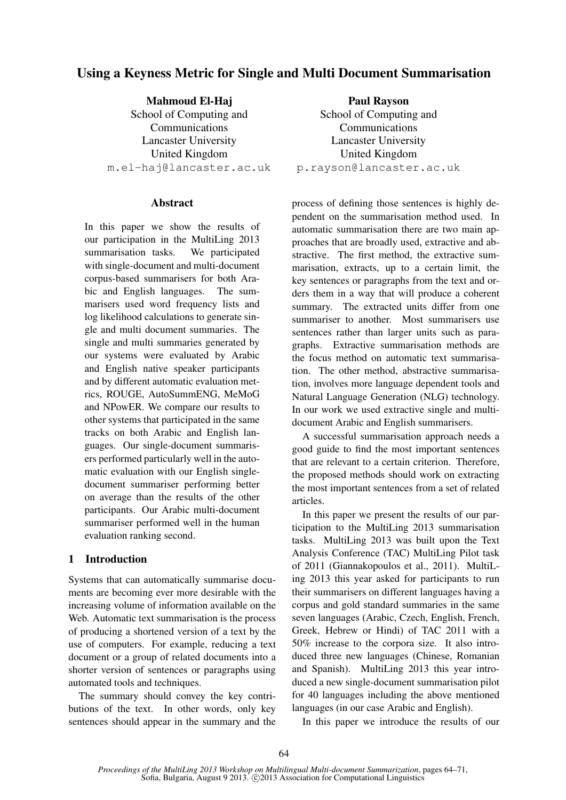# Using a Keyness Metric for Single and Multi Document Summarisation

Mahmoud El-Haj School of Computing and Communications Lancaster University United Kingdom m.el-haj@lancaster.ac.uk

## Abstract

In this paper we show the results of our participation in the MultiLing 2013 summarisation tasks. We participated with single-document and multi-document corpus-based summarisers for both Arabic and English languages. The summarisers used word frequency lists and log likelihood calculations to generate single and multi document summaries. The single and multi summaries generated by our systems were evaluated by Arabic and English native speaker participants and by different automatic evaluation metrics, ROUGE, AutoSummENG, MeMoG and NPowER. We compare our results to other systems that participated in the same tracks on both Arabic and English languages. Our single-document summarisers performed particularly well in the automatic evaluation with our English singledocument summariser performing better on average than the results of the other participants. Our Arabic multi-document summariser performed well in the human evaluation ranking second.

## 1 Introduction

Systems that can automatically summarise documents are becoming ever more desirable with the increasing volume of information available on the Web. Automatic text summarisation is the process of producing a shortened version of a text by the use of computers. For example, reducing a text document or a group of related documents into a shorter version of sentences or paragraphs using automated tools and techniques.

The summary should convey the key contributions of the text. In other words, only key sentences should appear in the summary and the

Paul Rayson School of Computing and Communications Lancaster University United Kingdom p.rayson@lancaster.ac.uk

process of defining those sentences is highly dependent on the summarisation method used. In automatic summarisation there are two main approaches that are broadly used, extractive and abstractive. The first method, the extractive summarisation, extracts, up to a certain limit, the key sentences or paragraphs from the text and orders them in a way that will produce a coherent summary. The extracted units differ from one summariser to another. Most summarisers use sentences rather than larger units such as paragraphs. Extractive summarisation methods are the focus method on automatic text summarisation. The other method, abstractive summarisation, involves more language dependent tools and Natural Language Generation (NLG) technology. In our work we used extractive single and multidocument Arabic and English summarisers.

A successful summarisation approach needs a good guide to find the most important sentences that are relevant to a certain criterion. Therefore, the proposed methods should work on extracting the most important sentences from a set of related articles.

In this paper we present the results of our participation to the MultiLing 2013 summarisation tasks. MultiLing 2013 was built upon the Text Analysis Conference (TAC) MultiLing Pilot task of 2011 (Giannakopoulos et al., 2011). MultiLing 2013 this year asked for participants to run their summarisers on different languages having a corpus and gold standard summaries in the same seven languages (Arabic, Czech, English, French, Greek, Hebrew or Hindi) of TAC 2011 with a 50% increase to the corpora size. It also introduced three new languages (Chinese, Romanian and Spanish). MultiLing 2013 this year introduced a new single-document summarisation pilot for 40 languages including the above mentioned languages (in our case Arabic and English).

In this paper we introduce the results of our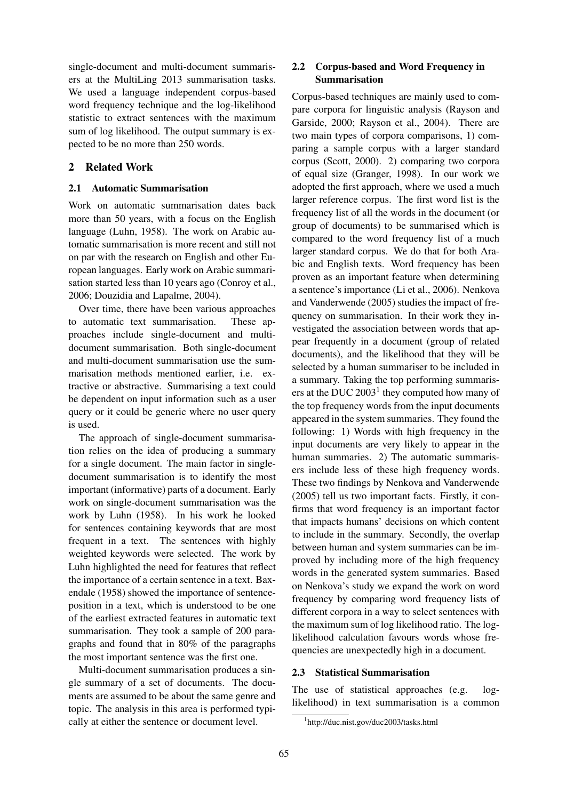single-document and multi-document summarisers at the MultiLing 2013 summarisation tasks. We used a language independent corpus-based word frequency technique and the log-likelihood statistic to extract sentences with the maximum sum of log likelihood. The output summary is expected to be no more than 250 words.

## 2 Related Work

#### 2.1 Automatic Summarisation

Work on automatic summarisation dates back more than 50 years, with a focus on the English language (Luhn, 1958). The work on Arabic automatic summarisation is more recent and still not on par with the research on English and other European languages. Early work on Arabic summarisation started less than 10 years ago (Conroy et al., 2006; Douzidia and Lapalme, 2004).

Over time, there have been various approaches to automatic text summarisation. These approaches include single-document and multidocument summarisation. Both single-document and multi-document summarisation use the summarisation methods mentioned earlier, i.e. extractive or abstractive. Summarising a text could be dependent on input information such as a user query or it could be generic where no user query is used.

The approach of single-document summarisation relies on the idea of producing a summary for a single document. The main factor in singledocument summarisation is to identify the most important (informative) parts of a document. Early work on single-document summarisation was the work by Luhn (1958). In his work he looked for sentences containing keywords that are most frequent in a text. The sentences with highly weighted keywords were selected. The work by Luhn highlighted the need for features that reflect the importance of a certain sentence in a text. Baxendale (1958) showed the importance of sentenceposition in a text, which is understood to be one of the earliest extracted features in automatic text summarisation. They took a sample of 200 paragraphs and found that in 80% of the paragraphs the most important sentence was the first one.

Multi-document summarisation produces a single summary of a set of documents. The documents are assumed to be about the same genre and topic. The analysis in this area is performed typically at either the sentence or document level.

## 2.2 Corpus-based and Word Frequency in Summarisation

Corpus-based techniques are mainly used to compare corpora for linguistic analysis (Rayson and Garside, 2000; Rayson et al., 2004). There are two main types of corpora comparisons, 1) comparing a sample corpus with a larger standard corpus (Scott, 2000). 2) comparing two corpora of equal size (Granger, 1998). In our work we adopted the first approach, where we used a much larger reference corpus. The first word list is the frequency list of all the words in the document (or group of documents) to be summarised which is compared to the word frequency list of a much larger standard corpus. We do that for both Arabic and English texts. Word frequency has been proven as an important feature when determining a sentence's importance (Li et al., 2006). Nenkova and Vanderwende (2005) studies the impact of frequency on summarisation. In their work they investigated the association between words that appear frequently in a document (group of related documents), and the likelihood that they will be selected by a human summariser to be included in a summary. Taking the top performing summarisers at the DUC  $2003<sup>1</sup>$  they computed how many of the top frequency words from the input documents appeared in the system summaries. They found the following: 1) Words with high frequency in the input documents are very likely to appear in the human summaries. 2) The automatic summarisers include less of these high frequency words. These two findings by Nenkova and Vanderwende (2005) tell us two important facts. Firstly, it confirms that word frequency is an important factor that impacts humans' decisions on which content to include in the summary. Secondly, the overlap between human and system summaries can be improved by including more of the high frequency words in the generated system summaries. Based on Nenkova's study we expand the work on word frequency by comparing word frequency lists of different corpora in a way to select sentences with the maximum sum of log likelihood ratio. The loglikelihood calculation favours words whose frequencies are unexpectedly high in a document.

### 2.3 Statistical Summarisation

The use of statistical approaches (e.g. loglikelihood) in text summarisation is a common

<sup>1</sup> http://duc.nist.gov/duc2003/tasks.html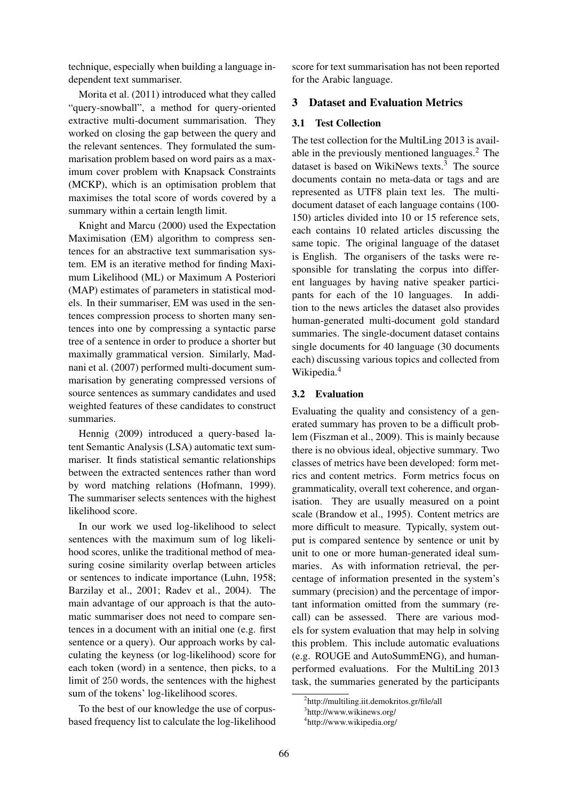technique, especially when building a language independent text summariser.

Morita et al. (2011) introduced what they called "query-snowball", a method for query-oriented extractive multi-document summarisation. They worked on closing the gap between the query and the relevant sentences. They formulated the summarisation problem based on word pairs as a maximum cover problem with Knapsack Constraints (MCKP), which is an optimisation problem that maximises the total score of words covered by a summary within a certain length limit.

Knight and Marcu (2000) used the Expectation Maximisation (EM) algorithm to compress sentences for an abstractive text summarisation system. EM is an iterative method for finding Maximum Likelihood (ML) or Maximum A Posteriori (MAP) estimates of parameters in statistical models. In their summariser, EM was used in the sentences compression process to shorten many sentences into one by compressing a syntactic parse tree of a sentence in order to produce a shorter but maximally grammatical version. Similarly, Madnani et al. (2007) performed multi-document summarisation by generating compressed versions of source sentences as summary candidates and used weighted features of these candidates to construct summaries.

Hennig (2009) introduced a query-based latent Semantic Analysis (LSA) automatic text summariser. It finds statistical semantic relationships between the extracted sentences rather than word by word matching relations (Hofmann, 1999). The summariser selects sentences with the highest likelihood score.

In our work we used log-likelihood to select sentences with the maximum sum of log likelihood scores, unlike the traditional method of measuring cosine similarity overlap between articles or sentences to indicate importance (Luhn, 1958; Barzilay et al., 2001; Radev et al., 2004). The main advantage of our approach is that the automatic summariser does not need to compare sentences in a document with an initial one (e.g. first sentence or a query). Our approach works by calculating the keyness (or log-likelihood) score for each token (word) in a sentence, then picks, to a limit of 250 words, the sentences with the highest sum of the tokens' log-likelihood scores.

To the best of our knowledge the use of corpusbased frequency list to calculate the log-likelihood score for text summarisation has not been reported for the Arabic language.

## 3 Dataset and Evaluation Metrics

## 3.1 Test Collection

The test collection for the MultiLing 2013 is available in the previously mentioned languages.<sup>2</sup> The dataset is based on WikiNews texts.<sup>3</sup> The source documents contain no meta-data or tags and are represented as UTF8 plain text les. The multidocument dataset of each language contains (100- 150) articles divided into 10 or 15 reference sets, each contains 10 related articles discussing the same topic. The original language of the dataset is English. The organisers of the tasks were responsible for translating the corpus into different languages by having native speaker participants for each of the 10 languages. In addition to the news articles the dataset also provides human-generated multi-document gold standard summaries. The single-document dataset contains single documents for 40 language (30 documents each) discussing various topics and collected from Wikipedia.<sup>4</sup>

## 3.2 Evaluation

Evaluating the quality and consistency of a generated summary has proven to be a difficult problem (Fiszman et al., 2009). This is mainly because there is no obvious ideal, objective summary. Two classes of metrics have been developed: form metrics and content metrics. Form metrics focus on grammaticality, overall text coherence, and organisation. They are usually measured on a point scale (Brandow et al., 1995). Content metrics are more difficult to measure. Typically, system output is compared sentence by sentence or unit by unit to one or more human-generated ideal summaries. As with information retrieval, the percentage of information presented in the system's summary (precision) and the percentage of important information omitted from the summary (recall) can be assessed. There are various models for system evaluation that may help in solving this problem. This include automatic evaluations (e.g. ROUGE and AutoSummENG), and humanperformed evaluations. For the MultiLing 2013 task, the summaries generated by the participants

<sup>2</sup> http://multiling.iit.demokritos.gr/file/all

<sup>3</sup> http://www.wikinews.org/

<sup>4</sup> http://www.wikipedia.org/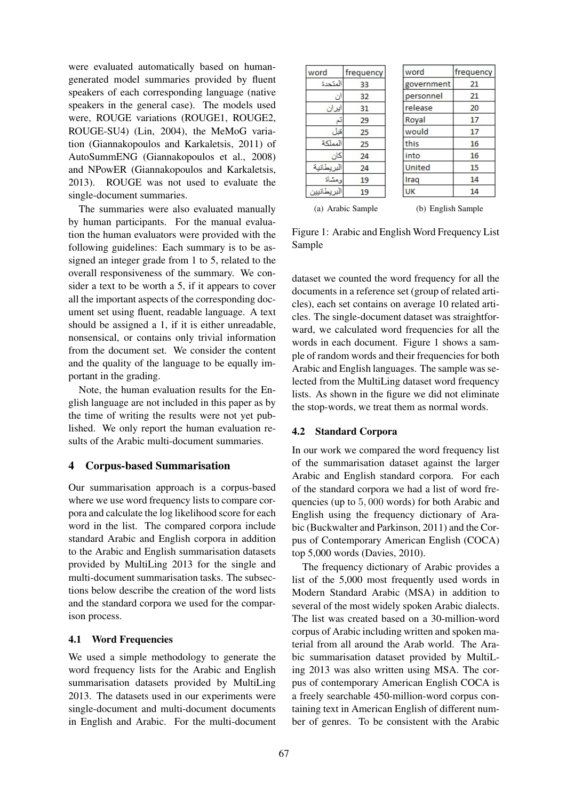were evaluated automatically based on humangenerated model summaries provided by fluent speakers of each corresponding language (native speakers in the general case). The models used were, ROUGE variations (ROUGE1, ROUGE2, ROUGE-SU4) (Lin, 2004), the MeMoG variation (Giannakopoulos and Karkaletsis, 2011) of AutoSummENG (Giannakopoulos et al., 2008) and NPowER (Giannakopoulos and Karkaletsis, 2013). ROUGE was not used to evaluate the single-document summaries.

The summaries were also evaluated manually by human participants. For the manual evaluation the human evaluators were provided with the following guidelines: Each summary is to be assigned an integer grade from 1 to 5, related to the overall responsiveness of the summary. We consider a text to be worth a 5, if it appears to cover all the important aspects of the corresponding document set using fluent, readable language. A text should be assigned a 1, if it is either unreadable, nonsensical, or contains only trivial information from the document set. We consider the content and the quality of the language to be equally important in the grading.

Note, the human evaluation results for the English language are not included in this paper as by the time of writing the results were not yet published. We only report the human evaluation results of the Arabic multi-document summaries.

## 4 Corpus-based Summarisation

Our summarisation approach is a corpus-based where we use word frequency lists to compare corpora and calculate the log likelihood score for each word in the list. The compared corpora include standard Arabic and English corpora in addition to the Arabic and English summarisation datasets provided by MultiLing 2013 for the single and multi-document summarisation tasks. The subsections below describe the creation of the word lists and the standard corpora we used for the comparison process.

## 4.1 Word Frequencies

We used a simple methodology to generate the word frequency lists for the Arabic and English summarisation datasets provided by MultiLing 2013. The datasets used in our experiments were single-document and multi-document documents in English and Arabic. For the multi-document

| word       | frequency         | word               | frequency |
|------------|-------------------|--------------------|-----------|
| المتحدة    | 33                | government         | 21        |
| ان         | 32                | personnel          | 21        |
| ایران      | 31                | release            | 20        |
|            | 29                | Royal              | 17        |
| قبل        | 25                | would              | 17        |
| المملكة    | 25                | this               | 16        |
| کان        | 24                | into               | 16        |
| البريطانية | 24                | United             | 15        |
| ومشاة      | 19                | Iraq               | 14        |
| طانيين     | 19                | UK                 | 14        |
|            | (a) Arabic Sample | (b) English Sample |           |

Figure 1: Arabic and English Word Frequency List Sample

dataset we counted the word frequency for all the documents in a reference set (group of related articles), each set contains on average 10 related articles. The single-document dataset was straightforward, we calculated word frequencies for all the words in each document. Figure 1 shows a sample of random words and their frequencies for both Arabic and English languages. The sample was selected from the MultiLing dataset word frequency lists. As shown in the figure we did not eliminate the stop-words, we treat them as normal words.

#### 4.2 Standard Corpora

In our work we compared the word frequency list of the summarisation dataset against the larger Arabic and English standard corpora. For each of the standard corpora we had a list of word frequencies (up to 5, 000 words) for both Arabic and English using the frequency dictionary of Arabic (Buckwalter and Parkinson, 2011) and the Corpus of Contemporary American English (COCA) top 5,000 words (Davies, 2010).

The frequency dictionary of Arabic provides a list of the 5,000 most frequently used words in Modern Standard Arabic (MSA) in addition to several of the most widely spoken Arabic dialects. The list was created based on a 30-million-word corpus of Arabic including written and spoken material from all around the Arab world. The Arabic summarisation dataset provided by MultiLing 2013 was also written using MSA. The corpus of contemporary American English COCA is a freely searchable 450-million-word corpus containing text in American English of different number of genres. To be consistent with the Arabic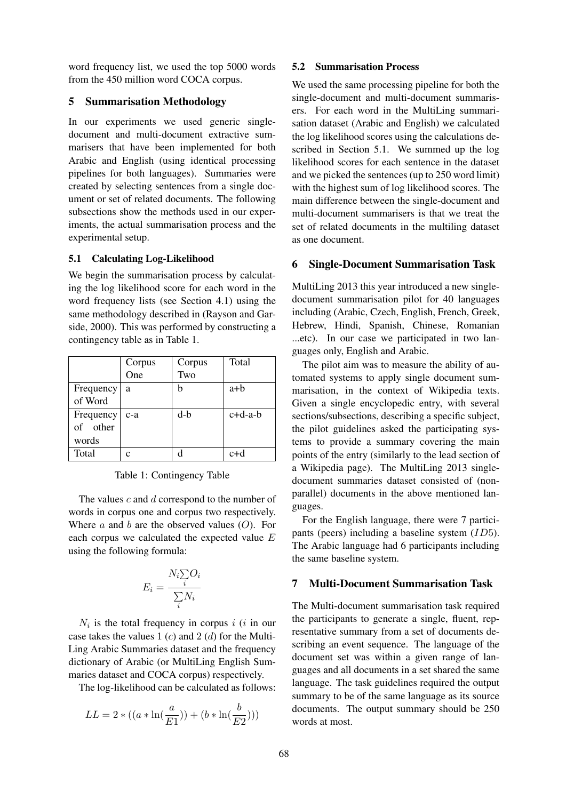word frequency list, we used the top 5000 words from the 450 million word COCA corpus.

### 5 Summarisation Methodology

In our experiments we used generic singledocument and multi-document extractive summarisers that have been implemented for both Arabic and English (using identical processing pipelines for both languages). Summaries were created by selecting sentences from a single document or set of related documents. The following subsections show the methods used in our experiments, the actual summarisation process and the experimental setup.

### 5.1 Calculating Log-Likelihood

We begin the summarisation process by calculating the log likelihood score for each word in the word frequency lists (see Section 4.1) using the same methodology described in (Rayson and Garside, 2000). This was performed by constructing a contingency table as in Table 1.

|           | Corpus | Corpus | Total     |
|-----------|--------|--------|-----------|
|           | One    | Two    |           |
| Frequency | a      | h      | a+b       |
| of Word   |        |        |           |
| Frequency | $c-a$  | $d-b$  | $c+d-a-b$ |
| of other  |        |        |           |
| words     |        |        |           |
| Total     | c      | d      | $c+d$     |

Table 1: Contingency Table

The values  $c$  and  $d$  correspond to the number of words in corpus one and corpus two respectively. Where  $a$  and  $b$  are the observed values  $(O)$ . For each corpus we calculated the expected value E using the following formula:

$$
E_i = \frac{N_i \sum_i O_i}{\sum_i N_i}
$$

 $N_i$  is the total frequency in corpus i (i in our case takes the values 1  $(c)$  and 2  $(d)$  for the Multi-Ling Arabic Summaries dataset and the frequency dictionary of Arabic (or MultiLing English Summaries dataset and COCA corpus) respectively.

The log-likelihood can be calculated as follows:

$$
LL = 2 * ((a * \ln(\frac{a}{E1})) + (b * \ln(\frac{b}{E2})))
$$

#### 5.2 Summarisation Process

We used the same processing pipeline for both the single-document and multi-document summarisers. For each word in the MultiLing summarisation dataset (Arabic and English) we calculated the log likelihood scores using the calculations described in Section 5.1. We summed up the log likelihood scores for each sentence in the dataset and we picked the sentences (up to 250 word limit) with the highest sum of log likelihood scores. The main difference between the single-document and multi-document summarisers is that we treat the set of related documents in the multiling dataset as one document.

### 6 Single-Document Summarisation Task

MultiLing 2013 this year introduced a new singledocument summarisation pilot for 40 languages including (Arabic, Czech, English, French, Greek, Hebrew, Hindi, Spanish, Chinese, Romanian ...etc). In our case we participated in two languages only, English and Arabic.

The pilot aim was to measure the ability of automated systems to apply single document summarisation, in the context of Wikipedia texts. Given a single encyclopedic entry, with several sections/subsections, describing a specific subject, the pilot guidelines asked the participating systems to provide a summary covering the main points of the entry (similarly to the lead section of a Wikipedia page). The MultiLing 2013 singledocument summaries dataset consisted of (nonparallel) documents in the above mentioned languages.

For the English language, there were 7 participants (peers) including a baseline system (ID5). The Arabic language had 6 participants including the same baseline system.

## 7 Multi-Document Summarisation Task

The Multi-document summarisation task required the participants to generate a single, fluent, representative summary from a set of documents describing an event sequence. The language of the document set was within a given range of languages and all documents in a set shared the same language. The task guidelines required the output summary to be of the same language as its source documents. The output summary should be 250 words at most.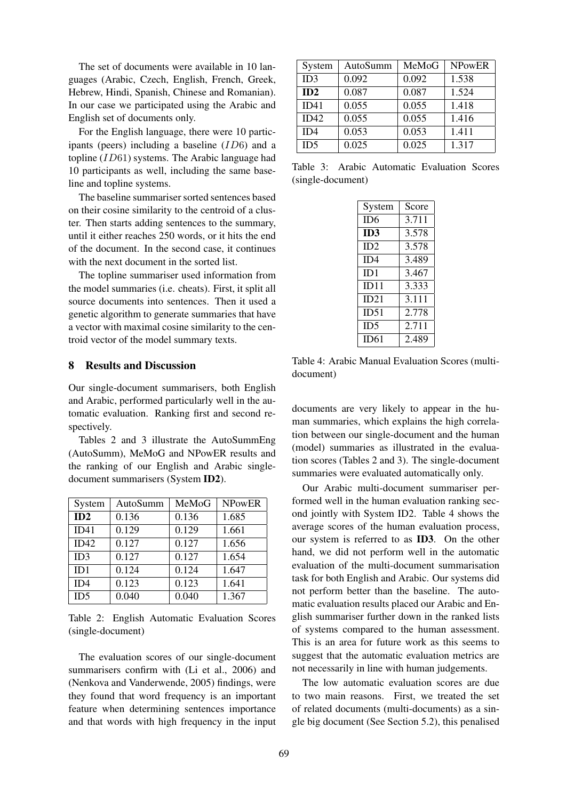The set of documents were available in 10 languages (Arabic, Czech, English, French, Greek, Hebrew, Hindi, Spanish, Chinese and Romanian). In our case we participated using the Arabic and English set of documents only.

For the English language, there were 10 participants (peers) including a baseline (ID6) and a topline (ID61) systems. The Arabic language had 10 participants as well, including the same baseline and topline systems.

The baseline summariser sorted sentences based on their cosine similarity to the centroid of a cluster. Then starts adding sentences to the summary, until it either reaches 250 words, or it hits the end of the document. In the second case, it continues with the next document in the sorted list.

The topline summariser used information from the model summaries (i.e. cheats). First, it split all source documents into sentences. Then it used a genetic algorithm to generate summaries that have a vector with maximal cosine similarity to the centroid vector of the model summary texts.

#### 8 Results and Discussion

Our single-document summarisers, both English and Arabic, performed particularly well in the automatic evaluation. Ranking first and second respectively.

Tables 2 and 3 illustrate the AutoSummEng (AutoSumm), MeMoG and NPowER results and the ranking of our English and Arabic singledocument summarisers (System ID2).

| System          | AutoSumm | MeMoG | <b>NPowER</b> |
|-----------------|----------|-------|---------------|
| ID2             | 0.136    | 0.136 | 1.685         |
| ID41            | 0.129    | 0.129 | 1.661         |
| ID42            | 0.127    | 0.127 | 1.656         |
| ID3             | 0.127    | 0.127 | 1.654         |
| ID1             | 0.124    | 0.124 | 1.647         |
| ID4             | 0.123    | 0.123 | 1.641         |
| ID <sub>5</sub> | 0.040    | 0.040 | 1.367         |

Table 2: English Automatic Evaluation Scores (single-document)

The evaluation scores of our single-document summarisers confirm with (Li et al., 2006) and (Nenkova and Vanderwende, 2005) findings, were they found that word frequency is an important feature when determining sentences importance and that words with high frequency in the input

| System          | AutoSumm | MeMoG | <b>NPowER</b> |
|-----------------|----------|-------|---------------|
| ID3             | 0.092    | 0.092 | 1.538         |
| ID2             | 0.087    | 0.087 | 1.524         |
| ID41            | 0.055    | 0.055 | 1.418         |
| ID42            | 0.055    | 0.055 | 1.416         |
| ID <sub>4</sub> | 0.053    | 0.053 | 1.411         |
| ID <sub>5</sub> | 0.025    | 0.025 | 1.317         |

Table 3: Arabic Automatic Evaluation Scores (single-document)

| System      | Score |
|-------------|-------|
| ID6         | 3.711 |
| ID3         | 3.578 |
| ID2         | 3.578 |
| ID4         | 3.489 |
| ID1         | 3.467 |
| ID11        | 3.333 |
| ID21        | 3.111 |
| ID51        | 2.778 |
| ID5         | 2.711 |
| <b>ID61</b> | 2.489 |

Table 4: Arabic Manual Evaluation Scores (multidocument)

documents are very likely to appear in the human summaries, which explains the high correlation between our single-document and the human (model) summaries as illustrated in the evaluation scores (Tables 2 and 3). The single-document summaries were evaluated automatically only.

Our Arabic multi-document summariser performed well in the human evaluation ranking second jointly with System ID2. Table 4 shows the average scores of the human evaluation process, our system is referred to as ID3. On the other hand, we did not perform well in the automatic evaluation of the multi-document summarisation task for both English and Arabic. Our systems did not perform better than the baseline. The automatic evaluation results placed our Arabic and English summariser further down in the ranked lists of systems compared to the human assessment. This is an area for future work as this seems to suggest that the automatic evaluation metrics are not necessarily in line with human judgements.

The low automatic evaluation scores are due to two main reasons. First, we treated the set of related documents (multi-documents) as a single big document (See Section 5.2), this penalised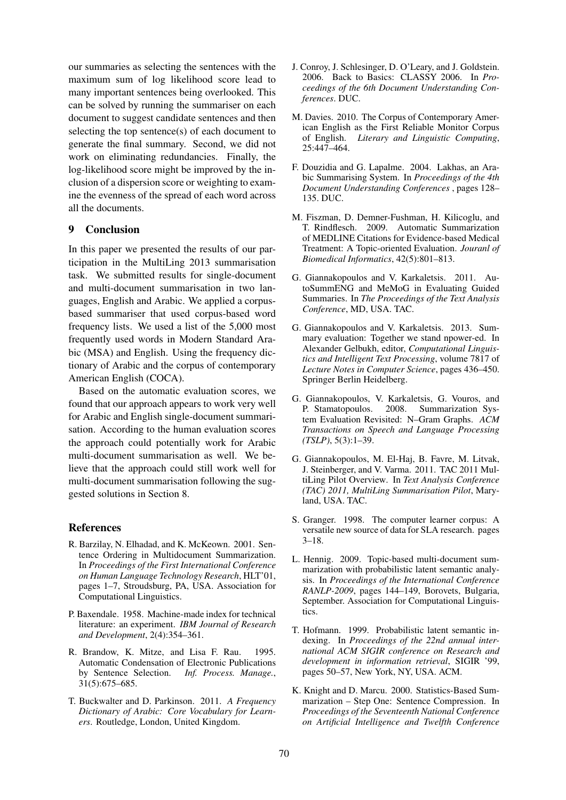our summaries as selecting the sentences with the maximum sum of log likelihood score lead to many important sentences being overlooked. This can be solved by running the summariser on each document to suggest candidate sentences and then selecting the top sentence(s) of each document to generate the final summary. Second, we did not work on eliminating redundancies. Finally, the log-likelihood score might be improved by the inclusion of a dispersion score or weighting to examine the evenness of the spread of each word across all the documents.

### 9 Conclusion

In this paper we presented the results of our participation in the MultiLing 2013 summarisation task. We submitted results for single-document and multi-document summarisation in two languages, English and Arabic. We applied a corpusbased summariser that used corpus-based word frequency lists. We used a list of the 5,000 most frequently used words in Modern Standard Arabic (MSA) and English. Using the frequency dictionary of Arabic and the corpus of contemporary American English (COCA).

Based on the automatic evaluation scores, we found that our approach appears to work very well for Arabic and English single-document summarisation. According to the human evaluation scores the approach could potentially work for Arabic multi-document summarisation as well. We believe that the approach could still work well for multi-document summarisation following the suggested solutions in Section 8.

#### References

- R. Barzilay, N. Elhadad, and K. McKeown. 2001. Sentence Ordering in Multidocument Summarization. In *Proceedings of the First International Conference on Human Language Technology Research*, HLT'01, pages 1–7, Stroudsburg, PA, USA. Association for Computational Linguistics.
- P. Baxendale. 1958. Machine-made index for technical literature: an experiment. *IBM Journal of Research and Development*, 2(4):354–361.
- R. Brandow, K. Mitze, and Lisa F. Rau. 1995. Automatic Condensation of Electronic Publications by Sentence Selection. *Inf. Process. Manage.*, 31(5):675–685.
- T. Buckwalter and D. Parkinson. 2011. *A Frequency Dictionary of Arabic: Core Vocabulary for Learners*. Routledge, London, United Kingdom.
- J. Conroy, J. Schlesinger, D. O'Leary, and J. Goldstein. 2006. Back to Basics: CLASSY 2006. In *Proceedings of the 6th Document Understanding Conferences*. DUC.
- M. Davies. 2010. The Corpus of Contemporary American English as the First Reliable Monitor Corpus of English. *Literary and Linguistic Computing*, 25:447–464.
- F. Douzidia and G. Lapalme. 2004. Lakhas, an Arabic Summarising System. In *Proceedings of the 4th Document Understanding Conferences* , pages 128– 135. DUC.
- M. Fiszman, D. Demner-Fushman, H. Kilicoglu, and T. Rindflesch. 2009. Automatic Summarization of MEDLINE Citations for Evidence-based Medical Treatment: A Topic-oriented Evaluation. *Jouranl of Biomedical Informatics*, 42(5):801–813.
- G. Giannakopoulos and V. Karkaletsis. 2011. AutoSummENG and MeMoG in Evaluating Guided Summaries. In *The Proceedings of the Text Analysis Conference*, MD, USA. TAC.
- G. Giannakopoulos and V. Karkaletsis. 2013. Summary evaluation: Together we stand npower-ed. In Alexander Gelbukh, editor, *Computational Linguistics and Intelligent Text Processing*, volume 7817 of *Lecture Notes in Computer Science*, pages 436–450. Springer Berlin Heidelberg.
- G. Giannakopoulos, V. Karkaletsis, G. Vouros, and P. Stamatopoulos. 2008. Summarization System Evaluation Revisited: N–Gram Graphs. *ACM Transactions on Speech and Language Processing (TSLP)*, 5(3):1–39.
- G. Giannakopoulos, M. El-Haj, B. Favre, M. Litvak, J. Steinberger, and V. Varma. 2011. TAC 2011 MultiLing Pilot Overview. In *Text Analysis Conference (TAC) 2011, MultiLing Summarisation Pilot*, Maryland, USA. TAC.
- S. Granger. 1998. The computer learner corpus: A versatile new source of data for SLA research. pages 3–18.
- L. Hennig. 2009. Topic-based multi-document summarization with probabilistic latent semantic analysis. In *Proceedings of the International Conference RANLP-2009*, pages 144–149, Borovets, Bulgaria, September. Association for Computational Linguistics.
- T. Hofmann. 1999. Probabilistic latent semantic indexing. In *Proceedings of the 22nd annual international ACM SIGIR conference on Research and development in information retrieval*, SIGIR '99, pages 50–57, New York, NY, USA. ACM.
- K. Knight and D. Marcu. 2000. Statistics-Based Summarization – Step One: Sentence Compression. In *Proceedings of the Seventeenth National Conference on Artificial Intelligence and Twelfth Conference*